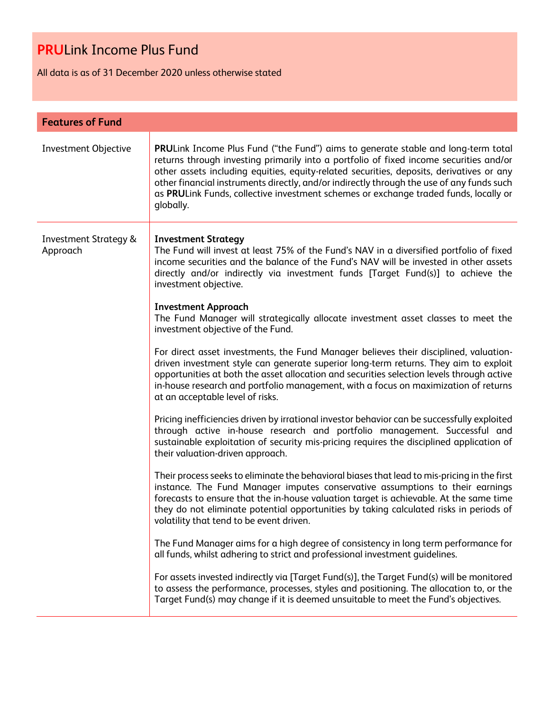All data is as of 31 December 2020 unless otherwise stated

| <b>Features of Fund</b>                      |                                                                                                                                                                                                                                                                                                                                                                                                                                                                                  |  |
|----------------------------------------------|----------------------------------------------------------------------------------------------------------------------------------------------------------------------------------------------------------------------------------------------------------------------------------------------------------------------------------------------------------------------------------------------------------------------------------------------------------------------------------|--|
| Investment Objective                         | <b>PRULink Income Plus Fund ("the Fund") aims to generate stable and long-term total</b><br>returns through investing primarily into a portfolio of fixed income securities and/or<br>other assets including equities, equity-related securities, deposits, derivatives or any<br>other financial instruments directly, and/or indirectly through the use of any funds such<br>as PRULink Funds, collective investment schemes or exchange traded funds, locally or<br>globally. |  |
| <b>Investment Strategy &amp;</b><br>Approach | <b>Investment Strategy</b><br>The Fund will invest at least 75% of the Fund's NAV in a diversified portfolio of fixed<br>income securities and the balance of the Fund's NAV will be invested in other assets<br>directly and/or indirectly via investment funds [Target Fund(s)] to achieve the<br>investment objective.                                                                                                                                                        |  |
|                                              | <b>Investment Approach</b><br>The Fund Manager will strategically allocate investment asset classes to meet the<br>investment objective of the Fund.                                                                                                                                                                                                                                                                                                                             |  |
|                                              | For direct asset investments, the Fund Manager believes their disciplined, valuation-<br>driven investment style can generate superior long-term returns. They aim to exploit<br>opportunities at both the asset allocation and securities selection levels through active<br>in-house research and portfolio management, with a focus on maximization of returns<br>at an acceptable level of risks.                                                                            |  |
|                                              | Pricing inefficiencies driven by irrational investor behavior can be successfully exploited<br>through active in-house research and portfolio management. Successful and<br>sustainable exploitation of security mis-pricing requires the disciplined application of<br>their valuation-driven approach.                                                                                                                                                                         |  |
|                                              | Their process seeks to eliminate the behavioral biases that lead to mis-pricing in the first<br>instance. The Fund Manager imputes conservative assumptions to their earnings<br>forecasts to ensure that the in-house valuation target is achievable. At the same time<br>they do not eliminate potential opportunities by taking calculated risks in periods of<br>volatility that tend to be event driven.                                                                    |  |
|                                              | The Fund Manager aims for a high degree of consistency in long term performance for<br>all funds, whilst adhering to strict and professional investment guidelines.                                                                                                                                                                                                                                                                                                              |  |
|                                              | For assets invested indirectly via [Target Fund(s)], the Target Fund(s) will be monitored<br>to assess the performance, processes, styles and positioning. The allocation to, or the<br>Target Fund(s) may change if it is deemed unsuitable to meet the Fund's objectives.                                                                                                                                                                                                      |  |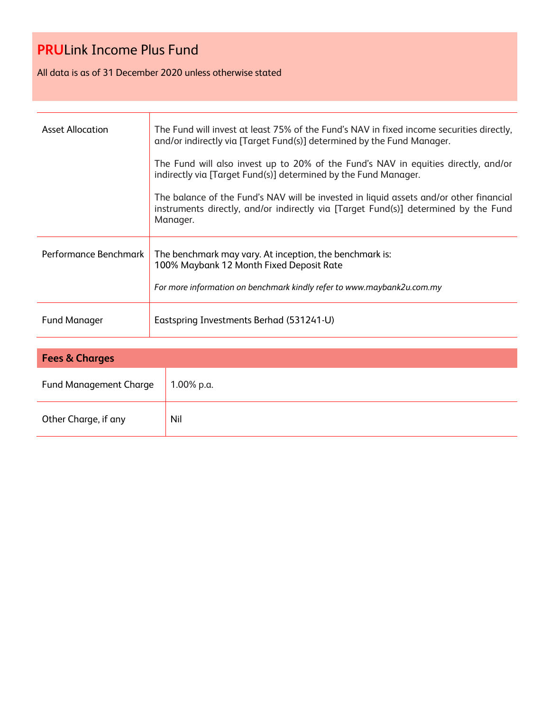All data is as of 31 December 2020 unless otherwise stated

| <b>Asset Allocation</b> | The Fund will invest at least 75% of the Fund's NAV in fixed income securities directly,<br>and/or indirectly via [Target Fund(s)] determined by the Fund Manager.                        |  |
|-------------------------|-------------------------------------------------------------------------------------------------------------------------------------------------------------------------------------------|--|
|                         | The Fund will also invest up to 20% of the Fund's NAV in equities directly, and/or<br>indirectly via [Target Fund(s)] determined by the Fund Manager.                                     |  |
|                         | The balance of the Fund's NAV will be invested in liquid assets and/or other financial<br>instruments directly, and/or indirectly via [Target Fund(s)] determined by the Fund<br>Manager. |  |
| Performance Benchmark   | The benchmark may vary. At inception, the benchmark is:<br>100% Maybank 12 Month Fixed Deposit Rate<br>For more information on benchmark kindly refer to www.maybank2u.com.my             |  |
| <b>Fund Manager</b>     | Eastspring Investments Berhad (531241-U)                                                                                                                                                  |  |

| <b>Fees &amp; Charges</b>     |            |  |
|-------------------------------|------------|--|
| <b>Fund Management Charge</b> | 1.00% p.a. |  |
| Other Charge, if any          | Nil        |  |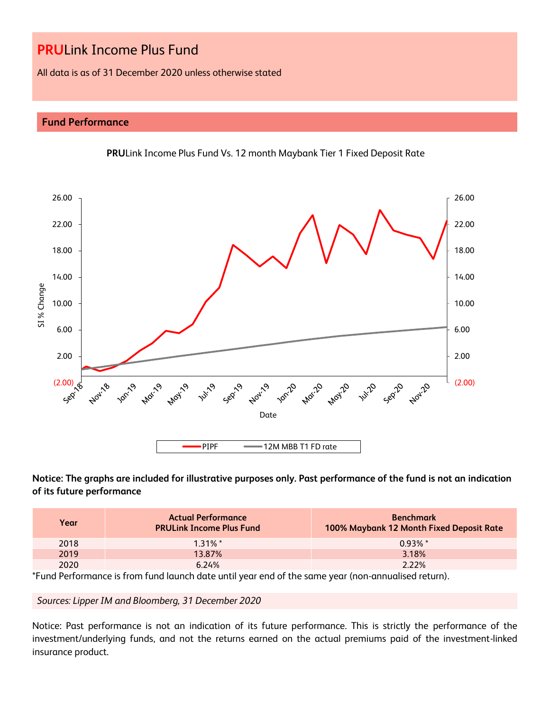All data is as of 31 December 2020 unless otherwise stated

## **Fund Performance**



## **PRU**Link Income Plus Fund Vs. 12 month Maybank Tier 1 Fixed Deposit Rate

**Notice: The graphs are included for illustrative purposes only. Past performance of the fund is not an indication of its future performance**

| Year | <b>Actual Performance</b><br><b>PRULink Income Plus Fund</b> | <b>Benchmark</b><br>100% Maybank 12 Month Fixed Deposit Rate |
|------|--------------------------------------------------------------|--------------------------------------------------------------|
| 2018 | $1.31\%$ *                                                   | $0.93\%$ *                                                   |
| 2019 | 13.87%                                                       | 3.18%                                                        |
| 2020 | 6.24%                                                        | 2.22%                                                        |

\*Fund Performance is from fund launch date until year end of the same year (non-annualised return).

### *Sources: Lipper IM and Bloomberg, 31 December 2020*

Notice: Past performance is not an indication of its future performance. This is strictly the performance of the investment/underlying funds, and not the returns earned on the actual premiums paid of the investment-linked insurance product.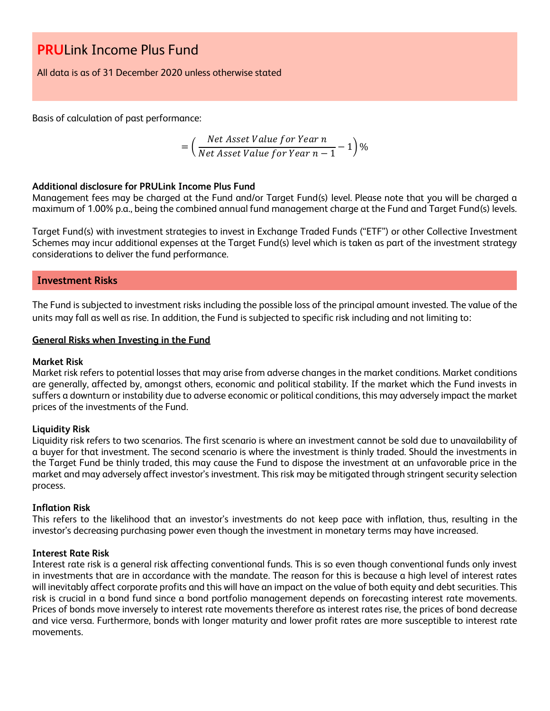All data is as of 31 December 2020 unless otherwise stated

Basis of calculation of past performance:

$$
= \left(\frac{Net\text{ Asset Value for Year }n}{Net\text{ Asset Value for Year }n-1}-1\right)\%
$$

### **Additional disclosure for PRULink Income Plus Fund**

Management fees may be charged at the Fund and/or Target Fund(s) level. Please note that you will be charged a maximum of 1.00% p.a., being the combined annual fund management charge at the Fund and Target Fund(s) levels.

Target Fund(s) with investment strategies to invest in Exchange Traded Funds ("ETF") or other Collective Investment Schemes may incur additional expenses at the Target Fund(s) level which is taken as part of the investment strategy considerations to deliver the fund performance.

### **Investment Risks**

The Fund is subjected to investment risks including the possible loss of the principal amount invested. The value of the units may fall as well as rise. In addition, the Fund is subjected to specific risk including and not limiting to:

### **General Risks when Investing in the Fund**

### **Market Risk**

Market risk refers to potential losses that may arise from adverse changes in the market conditions. Market conditions are generally, affected by, amongst others, economic and political stability. If the market which the Fund invests in suffers a downturn or instability due to adverse economic or political conditions, this may adversely impact the market prices of the investments of the Fund.

### **Liquidity Risk**

Liquidity risk refers to two scenarios. The first scenario is where an investment cannot be sold due to unavailability of a buyer for that investment. The second scenario is where the investment is thinly traded. Should the investments in the Target Fund be thinly traded, this may cause the Fund to dispose the investment at an unfavorable price in the market and may adversely affect investor's investment. This risk may be mitigated through stringent security selection process.

### **Inflation Risk**

This refers to the likelihood that an investor's investments do not keep pace with inflation, thus, resulting in the investor's decreasing purchasing power even though the investment in monetary terms may have increased.

### **Interest Rate Risk**

Interest rate risk is a general risk affecting conventional funds. This is so even though conventional funds only invest in investments that are in accordance with the mandate. The reason for this is because a high level of interest rates will inevitably affect corporate profits and this will have an impact on the value of both equity and debt securities. This risk is crucial in a bond fund since a bond portfolio management depends on forecasting interest rate movements. Prices of bonds move inversely to interest rate movements therefore as interest rates rise, the prices of bond decrease and vice versa. Furthermore, bonds with longer maturity and lower profit rates are more susceptible to interest rate movements.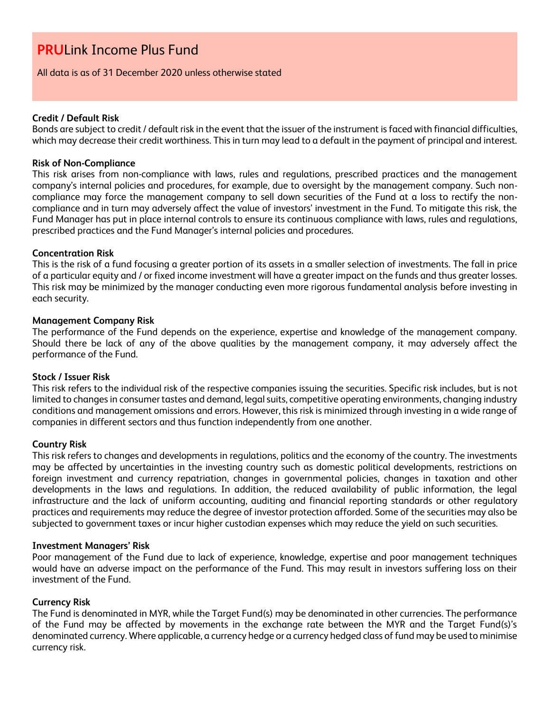### All data is as of 31 December 2020 unless otherwise stated

### **Credit / Default Risk**

Bonds are subject to credit / default risk in the event that the issuer of the instrument is faced with financial difficulties, which may decrease their credit worthiness. This in turn may lead to a default in the payment of principal and interest.

### **Risk of Non-Compliance**

This risk arises from non-compliance with laws, rules and regulations, prescribed practices and the management company's internal policies and procedures, for example, due to oversight by the management company. Such noncompliance may force the management company to sell down securities of the Fund at a loss to rectify the noncompliance and in turn may adversely affect the value of investors' investment in the Fund. To mitigate this risk, the Fund Manager has put in place internal controls to ensure its continuous compliance with laws, rules and regulations, prescribed practices and the Fund Manager's internal policies and procedures.

### **Concentration Risk**

This is the risk of a fund focusing a greater portion of its assets in a smaller selection of investments. The fall in price of a particular equity and / or fixed income investment will have a greater impact on the funds and thus greater losses. This risk may be minimized by the manager conducting even more rigorous fundamental analysis before investing in each security.

### **Management Company Risk**

The performance of the Fund depends on the experience, expertise and knowledge of the management company. Should there be lack of any of the above qualities by the management company, it may adversely affect the performance of the Fund.

### **Stock / Issuer Risk**

This risk refers to the individual risk of the respective companies issuing the securities. Specific risk includes, but is not limited to changes in consumer tastes and demand, legal suits, competitive operating environments, changing industry conditions and management omissions and errors. However, this risk is minimized through investing in a wide range of companies in different sectors and thus function independently from one another.

### **Country Risk**

This risk refers to changes and developments in regulations, politics and the economy of the country. The investments may be affected by uncertainties in the investing country such as domestic political developments, restrictions on foreign investment and currency repatriation, changes in governmental policies, changes in taxation and other developments in the laws and regulations. In addition, the reduced availability of public information, the legal infrastructure and the lack of uniform accounting, auditing and financial reporting standards or other regulatory practices and requirements may reduce the degree of investor protection afforded. Some of the securities may also be subjected to government taxes or incur higher custodian expenses which may reduce the yield on such securities.

### **Investment Managers' Risk**

Poor management of the Fund due to lack of experience, knowledge, expertise and poor management techniques would have an adverse impact on the performance of the Fund. This may result in investors suffering loss on their investment of the Fund.

### **Currency Risk**

The Fund is denominated in MYR, while the Target Fund(s) may be denominated in other currencies. The performance of the Fund may be affected by movements in the exchange rate between the MYR and the Target Fund(s)'s denominated currency. Where applicable, a currency hedge or a currency hedged class of fund may be used to minimise currency risk.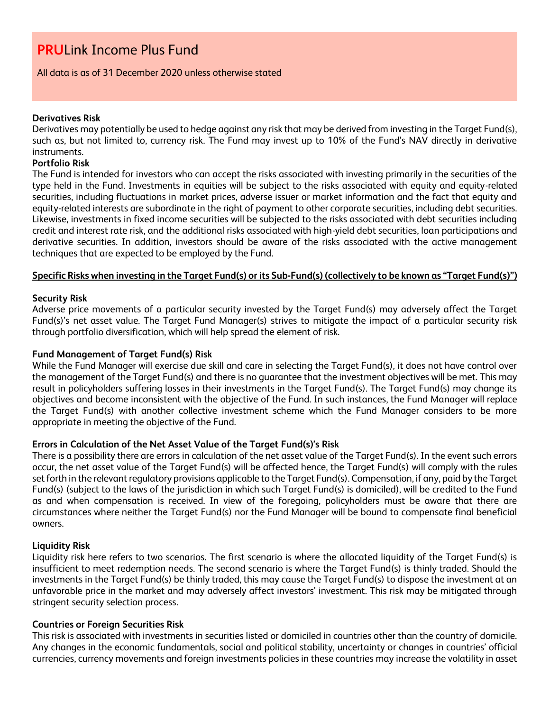### All data is as of 31 December 2020 unless otherwise stated

### **Derivatives Risk**

Derivatives may potentially be used to hedge against any risk that may be derived from investing in the Target Fund(s), such as, but not limited to, currency risk. The Fund may invest up to 10% of the Fund's NAV directly in derivative instruments.

## **Portfolio Risk**

The Fund is intended for investors who can accept the risks associated with investing primarily in the securities of the type held in the Fund. Investments in equities will be subject to the risks associated with equity and equity-related securities, including fluctuations in market prices, adverse issuer or market information and the fact that equity and equity-related interests are subordinate in the right of payment to other corporate securities, including debt securities. Likewise, investments in fixed income securities will be subjected to the risks associated with debt securities including credit and interest rate risk, and the additional risks associated with high-yield debt securities, loan participations and derivative securities. In addition, investors should be aware of the risks associated with the active management techniques that are expected to be employed by the Fund.

### **Specific Risks when investing in the Target Fund(s) or its Sub-Fund(s) (collectively to be known as "Target Fund(s)")**

### **Security Risk**

Adverse price movements of a particular security invested by the Target Fund(s) may adversely affect the Target Fund(s)'s net asset value. The Target Fund Manager(s) strives to mitigate the impact of a particular security risk through portfolio diversification, which will help spread the element of risk.

### **Fund Management of Target Fund(s) Risk**

While the Fund Manager will exercise due skill and care in selecting the Target Fund(s), it does not have control over the management of the Target Fund(s) and there is no guarantee that the investment objectives will be met. This may result in policyholders suffering losses in their investments in the Target Fund(s). The Target Fund(s) may change its objectives and become inconsistent with the objective of the Fund. In such instances, the Fund Manager will replace the Target Fund(s) with another collective investment scheme which the Fund Manager considers to be more appropriate in meeting the objective of the Fund.

### **Errors in Calculation of the Net Asset Value of the Target Fund(s)'s Risk**

There is a possibility there are errors in calculation of the net asset value of the Target Fund(s). In the event such errors occur, the net asset value of the Target Fund(s) will be affected hence, the Target Fund(s) will comply with the rules set forth in the relevant regulatory provisions applicable to the Target Fund(s). Compensation, if any, paid by the Target Fund(s) (subject to the laws of the jurisdiction in which such Target Fund(s) is domiciled), will be credited to the Fund as and when compensation is received. In view of the foregoing, policyholders must be aware that there are circumstances where neither the Target Fund(s) nor the Fund Manager will be bound to compensate final beneficial owners.

### **Liquidity Risk**

Liquidity risk here refers to two scenarios. The first scenario is where the allocated liquidity of the Target Fund(s) is insufficient to meet redemption needs. The second scenario is where the Target Fund(s) is thinly traded. Should the investments in the Target Fund(s) be thinly traded, this may cause the Target Fund(s) to dispose the investment at an unfavorable price in the market and may adversely affect investors' investment. This risk may be mitigated through stringent security selection process.

### **Countries or Foreign Securities Risk**

This risk is associated with investments in securities listed or domiciled in countries other than the country of domicile. Any changes in the economic fundamentals, social and political stability, uncertainty or changes in countries' official currencies, currency movements and foreign investments policies in these countries may increase the volatility in asset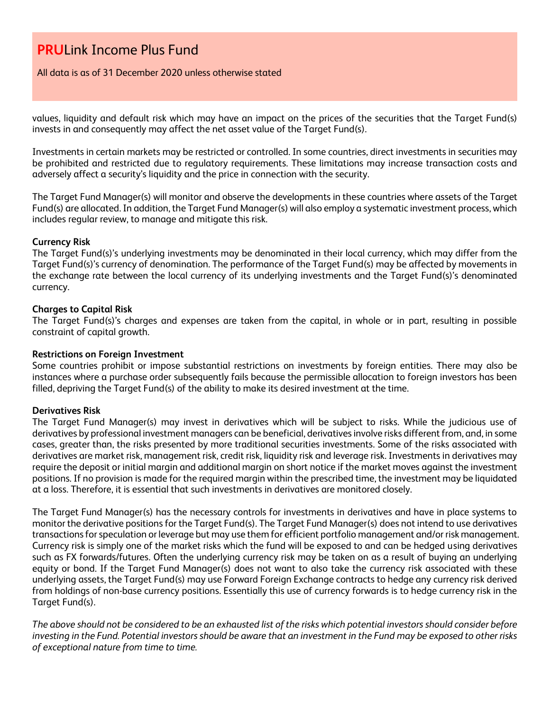All data is as of 31 December 2020 unless otherwise stated

values, liquidity and default risk which may have an impact on the prices of the securities that the Target Fund(s) invests in and consequently may affect the net asset value of the Target Fund(s).

Investments in certain markets may be restricted or controlled. In some countries, direct investments in securities may be prohibited and restricted due to regulatory requirements. These limitations may increase transaction costs and adversely affect a security's liquidity and the price in connection with the security.

The Target Fund Manager(s) will monitor and observe the developments in these countries where assets of the Target Fund(s) are allocated. In addition, the Target Fund Manager(s) will also employ a systematic investment process, which includes regular review, to manage and mitigate this risk.

### **Currency Risk**

The Target Fund(s)'s underlying investments may be denominated in their local currency, which may differ from the Target Fund(s)'s currency of denomination. The performance of the Target Fund(s) may be affected by movements in the exchange rate between the local currency of its underlying investments and the Target Fund(s)'s denominated currency.

### **Charges to Capital Risk**

The Target Fund(s)'s charges and expenses are taken from the capital, in whole or in part, resulting in possible constraint of capital growth.

### **Restrictions on Foreign Investment**

Some countries prohibit or impose substantial restrictions on investments by foreign entities. There may also be instances where a purchase order subsequently fails because the permissible allocation to foreign investors has been filled, depriving the Target Fund(s) of the ability to make its desired investment at the time.

### **Derivatives Risk**

The Target Fund Manager(s) may invest in derivatives which will be subject to risks. While the judicious use of derivatives by professional investment managers can be beneficial, derivatives involve risks different from, and, in some cases, greater than, the risks presented by more traditional securities investments. Some of the risks associated with derivatives are market risk, management risk, credit risk, liquidity risk and leverage risk. Investments in derivatives may require the deposit or initial margin and additional margin on short notice if the market moves against the investment positions. If no provision is made for the required margin within the prescribed time, the investment may be liquidated at a loss. Therefore, it is essential that such investments in derivatives are monitored closely.

The Target Fund Manager(s) has the necessary controls for investments in derivatives and have in place systems to monitor the derivative positions for the Target Fund(s). The Target Fund Manager(s) does not intend to use derivatives transactions for speculation or leverage but may use them for efficient portfolio management and/or risk management. Currency risk is simply one of the market risks which the fund will be exposed to and can be hedged using derivatives such as FX forwards/futures. Often the underlying currency risk may be taken on as a result of buying an underlying equity or bond. If the Target Fund Manager(s) does not want to also take the currency risk associated with these underlying assets, the Target Fund(s) may use Forward Foreign Exchange contracts to hedge any currency risk derived from holdings of non-base currency positions. Essentially this use of currency forwards is to hedge currency risk in the Target Fund(s).

*The above should not be considered to be an exhausted list of the risks which potential investors should consider before investing in the Fund. Potential investors should be aware that an investment in the Fund may be exposed to other risks of exceptional nature from time to time.*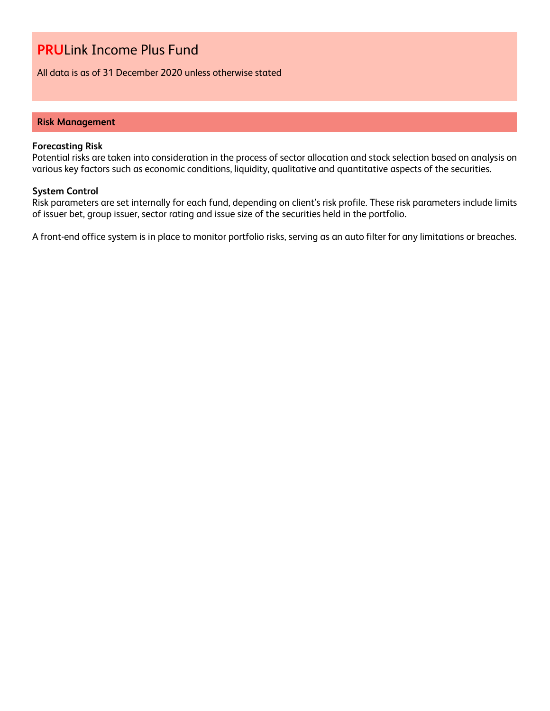All data is as of 31 December 2020 unless otherwise stated

### **Risk Management**

### **Forecasting Risk**

Potential risks are taken into consideration in the process of sector allocation and stock selection based on analysis on various key factors such as economic conditions, liquidity, qualitative and quantitative aspects of the securities.

### **System Control**

Risk parameters are set internally for each fund, depending on client's risk profile. These risk parameters include limits of issuer bet, group issuer, sector rating and issue size of the securities held in the portfolio.

A front-end office system is in place to monitor portfolio risks, serving as an auto filter for any limitations or breaches.